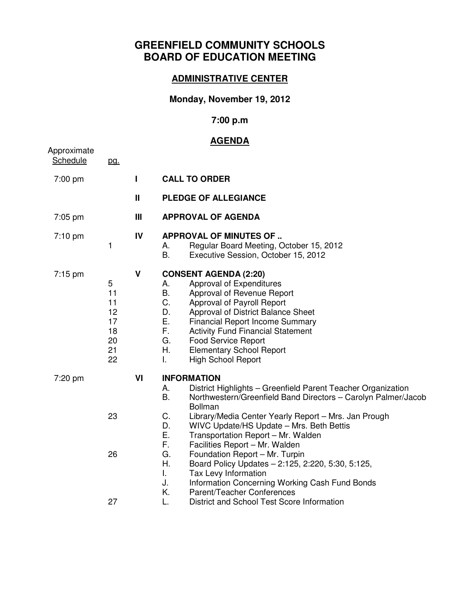# **GREENFIELD COMMUNITY SCHOOLS BOARD OF EDUCATION MEETING**

#### **ADMINISTRATIVE CENTER**

## **Monday, November 19, 2012**

## **7:00 p.m**

#### **AGENDA**

| Approximate       |                                                   |              |                                                                                                                                                                                                                                                                                                                                                                                                                                                                                                                                                                                                                    |
|-------------------|---------------------------------------------------|--------------|--------------------------------------------------------------------------------------------------------------------------------------------------------------------------------------------------------------------------------------------------------------------------------------------------------------------------------------------------------------------------------------------------------------------------------------------------------------------------------------------------------------------------------------------------------------------------------------------------------------------|
| Schedule          | pg.                                               |              |                                                                                                                                                                                                                                                                                                                                                                                                                                                                                                                                                                                                                    |
| 7:00 pm           |                                                   | $\mathbf{I}$ | <b>CALL TO ORDER</b>                                                                                                                                                                                                                                                                                                                                                                                                                                                                                                                                                                                               |
|                   |                                                   | Ш            | <b>PLEDGE OF ALLEGIANCE</b>                                                                                                                                                                                                                                                                                                                                                                                                                                                                                                                                                                                        |
| 7:05 pm           |                                                   | Ш            | <b>APPROVAL OF AGENDA</b>                                                                                                                                                                                                                                                                                                                                                                                                                                                                                                                                                                                          |
| 7:10 pm           | 1                                                 | IV           | <b>APPROVAL OF MINUTES OF </b><br>Regular Board Meeting, October 15, 2012<br>А.<br>Β.<br>Executive Session, October 15, 2012                                                                                                                                                                                                                                                                                                                                                                                                                                                                                       |
| $7:15 \text{ pm}$ | 5<br>11<br>11<br>12<br>17<br>18<br>20<br>21<br>22 | $\mathsf{V}$ | <b>CONSENT AGENDA (2:20)</b><br>Approval of Expenditures<br>А.<br>Β.<br>Approval of Revenue Report<br>C.<br>Approval of Payroll Report<br>D.<br>Approval of District Balance Sheet<br>Ε.<br><b>Financial Report Income Summary</b><br>F.<br><b>Activity Fund Financial Statement</b><br>G.<br><b>Food Service Report</b><br>Η.<br><b>Elementary School Report</b><br>I.<br><b>High School Report</b>                                                                                                                                                                                                               |
| 7:20 pm           | 23<br>26                                          | VI           | <b>INFORMATION</b><br>District Highlights - Greenfield Parent Teacher Organization<br>А.<br>Β.<br>Northwestern/Greenfield Band Directors - Carolyn Palmer/Jacob<br><b>Bollman</b><br>C.<br>Library/Media Center Yearly Report - Mrs. Jan Prough<br>D.<br>WIVC Update/HS Update - Mrs. Beth Bettis<br>Ε.<br>Transportation Report - Mr. Walden<br>F.<br>Facilities Report - Mr. Walden<br>G.<br>Foundation Report - Mr. Turpin<br>Η.<br>Board Policy Updates - 2:125, 2:220, 5:30, 5:125,<br>I.<br>Tax Levy Information<br>J.<br>Information Concerning Working Cash Fund Bonds<br>Κ.<br>Parent/Teacher Conferences |
|                   | 27                                                |              | L.<br>District and School Test Score Information                                                                                                                                                                                                                                                                                                                                                                                                                                                                                                                                                                   |